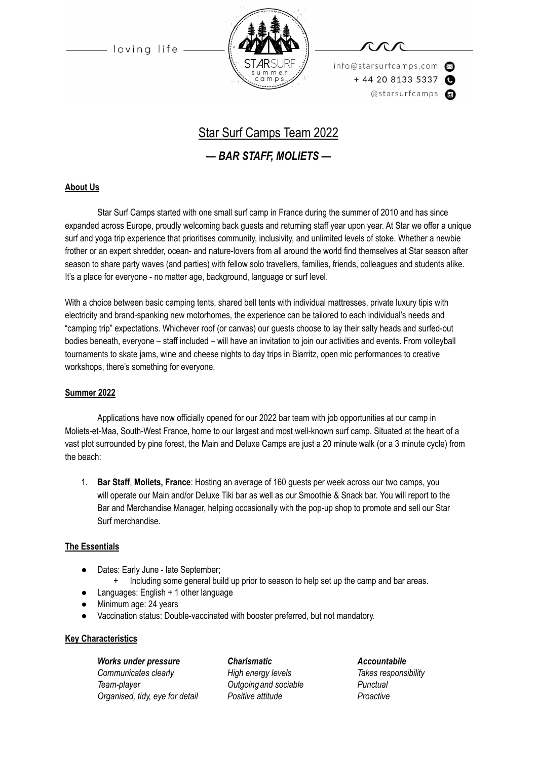loving life



info@starsurfcamps.com  $+442081335337$ @starsurfcamps @



## Star Surf Camps Team 2022

### *— BAR STAFF, MOLIETS —*

#### **About Us**

Star Surf Camps started with one small surf camp in France during the summer of 2010 and has since expanded across Europe, proudly welcoming back guests and returning staff year upon year. At Star we offer a unique surf and yoga trip experience that prioritises community, inclusivity, and unlimited levels of stoke. Whether a newbie frother or an expert shredder, ocean- and nature-lovers from all around the world find themselves at Star season after season to share party waves (and parties) with fellow solo travellers, families, friends, colleagues and students alike. It's a place for everyone - no matter age, background, language or surf level.

With a choice between basic camping tents, shared bell tents with individual mattresses, private luxury tipis with electricity and brand-spanking new motorhomes, the experience can be tailored to each individual's needs and "camping trip" expectations. Whichever roof (or canvas) our guests choose to lay their salty heads and surfed-out bodies beneath, everyone – staff included – will have an invitation to join our activities and events. From volleyball tournaments to skate jams, wine and cheese nights to day trips in Biarritz, open mic performances to creative workshops, there's something for everyone.

#### **Summer 2022**

Applications have now officially opened for our 2022 bar team with job opportunities at our camp in Moliets-et-Maa, South-West France, home to our largest and most well-known surf camp. Situated at the heart of a vast plot surrounded by pine forest, the Main and Deluxe Camps are just a 20 minute walk (or a 3 minute cycle) from the beach:

1. **Bar Staff**, **Moliets, France**: Hosting an average of 160 guests per week across our two camps, you will operate our Main and/or Deluxe Tiki bar as well as our Smoothie & Snack bar. You will report to the Bar and Merchandise Manager, helping occasionally with the pop-up shop to promote and sell our Star Surf merchandise.

#### **The Essentials**

- Dates: Early June late September;
	- + Including some general build up prior to season to help set up the camp and bar areas.
- Languages: English + 1 other language
- Minimum age: 24 years
- Vaccination status: Double-vaccinated with booster preferred, but not mandatory.

#### **Key Characteristics**

*Works under pressure Charismatic Accountabile Communicates clearly High energy levels Takes responsibility Team-player Outgoingand sociable Punctual Organised, tidy, eye for detail Positive attitude Proactive*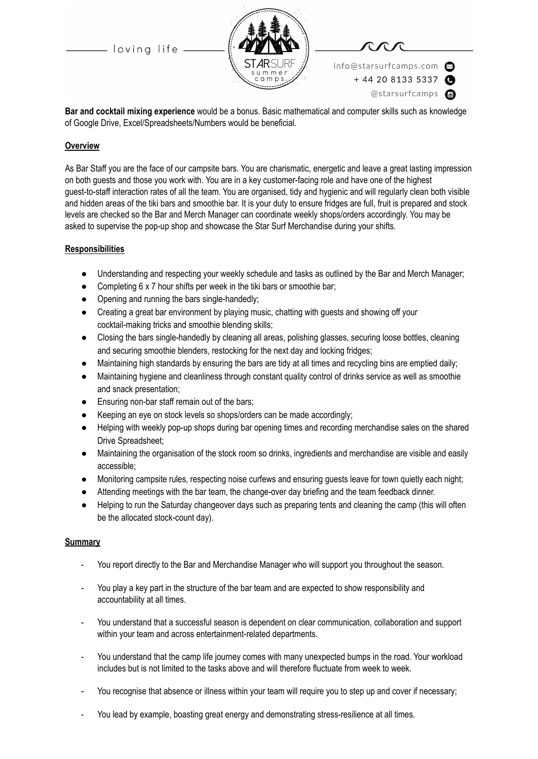- loving life



info@starsurfcamps.com  $+442081335337$ @starsurfcamps @

**Bar and cocktail mixing experience** would be a bonus. Basic mathematical and computer skills such as knowledge of Google Drive, Excel/Spreadsheets/Numbers would be beneficial.

#### **Overview**

As Bar Staff you are the face of our campsite bars. You are charismatic, energetic and leave a great lasting impression on both guests and those you work with. You are in a key customer-facing role and have one of the highest guest-to-staff interaction rates of all the team. You are organised, tidy and hygienic and will regularly clean both visible and hidden areas of the tiki bars and smoothie bar. It is your duty to ensure fridges are full, fruit is prepared and stock levels are checked so the Bar and Merch Manager can coordinate weekly shops/orders accordingly. You may be asked to supervise the pop-up shop and showcase the Star Surf Merchandise during your shifts.

#### **Responsibilities**

- Understanding and respecting your weekly schedule and tasks as outlined by the Bar and Merch Manager;
- Completing 6 x 7 hour shifts per week in the tiki bars or smoothie bar;
- Opening and running the bars single-handedly;
- Creating a great bar environment by playing music, chatting with guests and showing off your cocktail-making tricks and smoothie blending skills;
- Closing the bars single-handedly by cleaning all areas, polishing glasses, securing loose bottles, cleaning and securing smoothie blenders, restocking for the next day and locking fridges;
- Maintaining high standards by ensuring the bars are tidy at all times and recycling bins are emptied daily;
- Maintaining hygiene and cleanliness through constant quality control of drinks service as well as smoothie and snack presentation;
- Ensuring non-bar staff remain out of the bars;
- Keeping an eye on stock levels so shops/orders can be made accordingly;
- Helping with weekly pop-up shops during bar opening times and recording merchandise sales on the shared Drive Spreadsheet;
- Maintaining the organisation of the stock room so drinks, ingredients and merchandise are visible and easily accessible;
- Monitoring campsite rules, respecting noise curfews and ensuring guests leave for town quietly each night;
- Attending meetings with the bar team, the change-over day briefing and the team feedback dinner.
- Helping to run the Saturday changeover days such as preparing tents and cleaning the camp (this will often be the allocated stock-count day).

#### **Summary**

- You report directly to the Bar and Merchandise Manager who will support you throughout the season.
- You play a key part in the structure of the bar team and are expected to show responsibility and accountability at all times.
- You understand that a successful season is dependent on clear communication, collaboration and support within your team and across entertainment-related departments.
- You understand that the camp life journey comes with many unexpected bumps in the road. Your workload includes but is not limited to the tasks above and will therefore fluctuate from week to week.
- You recognise that absence or illness within your team will require you to step up and cover if necessary;
- You lead by example, boasting great energy and demonstrating stress-resilience at all times.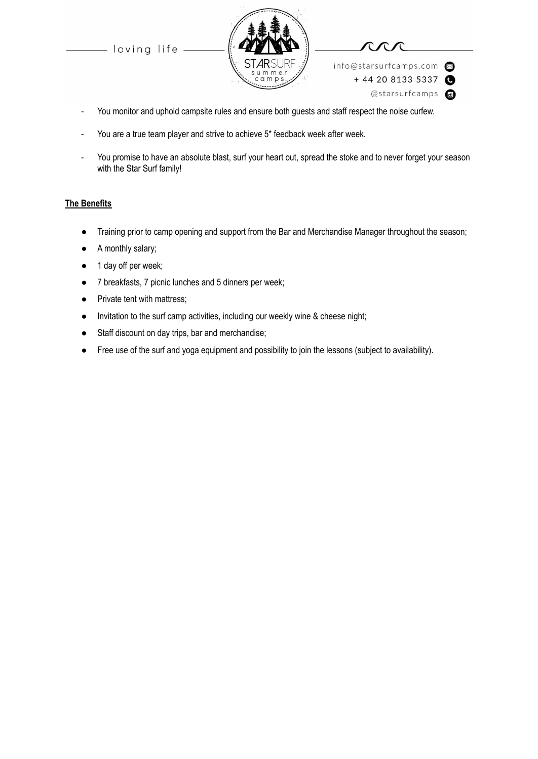loving life





 $+442081335337$ 

info@starsurfcamps.com

- @starsurfcamps c
- You monitor and uphold campsite rules and ensure both guests and staff respect the noise curfew.
- You are a true team player and strive to achieve 5\* feedback week after week.
- You promise to have an absolute blast, surf your heart out, spread the stoke and to never forget your season with the Star Surf family!

#### **The Benefits**

- Training prior to camp opening and support from the Bar and Merchandise Manager throughout the season;
- A monthly salary;
- 1 day off per week;
- 7 breakfasts, 7 picnic lunches and 5 dinners per week;
- Private tent with mattress;
- Invitation to the surf camp activities, including our weekly wine & cheese night;
- Staff discount on day trips, bar and merchandise;
- Free use of the surf and yoga equipment and possibility to join the lessons (subject to availability).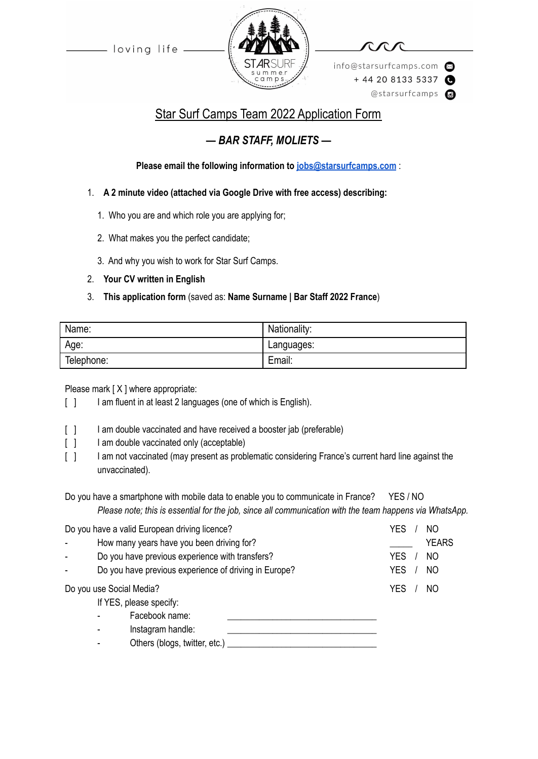loving life



info@starsurfcamps.com  $+442081335337$ @starsurfcamps @

# Star Surf Camps Team 2022 Application Form

## *— BAR STAFF, MOLIETS —*

**Please email the following information to [jobs@starsurfcamps.com](mailto:jobs@starsurfcamps.com)** :

- 1. **A 2 minute video (attached via Google Drive with free access) describing:**
	- 1️. Who you are and which role you are applying for;
	- 2. What makes you the perfect candidate;
	- 3️. And why you wish to work for Star Surf Camps.
- 2. **Your CV written in English**

### 3. **This application form** (saved as: **Name Surname | Bar Staff 2022 France**)

| Name:      | Nationality: |
|------------|--------------|
| Age:       | Languages:   |
| Telephone: | Email:       |

Please mark [X ] where appropriate:

- [ ] I am fluent in at least 2 languages (one of which is English).
- [  $\vert$  ] I am double vaccinated and have received a booster jab (preferable)
- [ ] I am double vaccinated only (acceptable)
- [ ] I am not vaccinated (may present as problematic considering France's current hard line against the unvaccinated).
- Do you have a smartphone with mobile data to enable you to communicate in France? YES / NO *Please note; this is essential for the job, since all communication with the team happens via WhatsApp.*

| Do you have a valid European driving licence? |                                                       | YES        | NO             |
|-----------------------------------------------|-------------------------------------------------------|------------|----------------|
|                                               | How many years have you been driving for?             |            | <b>YEARS</b>   |
|                                               | Do you have previous experience with transfers?       |            | N <sub>O</sub> |
|                                               | Do you have previous experience of driving in Europe? | <b>YES</b> | N <sub>O</sub> |
| Do you use Social Media?                      |                                                       | YES        | NO             |
|                                               | If YES, please specify:                               |            |                |
|                                               | Facebook name:                                        |            |                |
|                                               | Instagram handle:                                     |            |                |
|                                               | Others (blogs, twitter, etc.)                         |            |                |